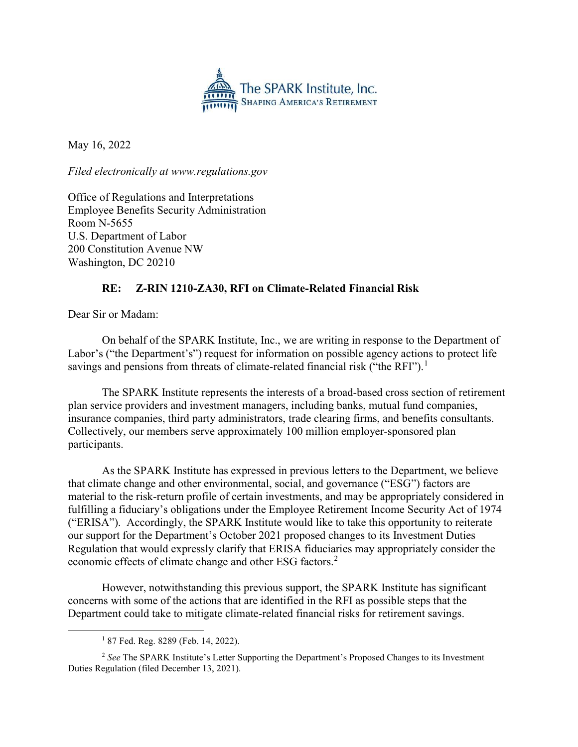

May 16, 2022

Filed electronically at www.regulations.gov

Office of Regulations and Interpretations Employee Benefits Security Administration Room N-5655 U.S. Department of Labor 200 Constitution Avenue NW Washington, DC 20210

## RE: Z-RIN 1210-ZA30, RFI on Climate-Related Financial Risk

Dear Sir or Madam:

 On behalf of the SPARK Institute, Inc., we are writing in response to the Department of Labor's ("the Department's") request for information on possible agency actions to protect life savings and pensions from threats of climate-related financial risk ("the RFI").<sup>1</sup>

The SPARK Institute represents the interests of a broad-based cross section of retirement plan service providers and investment managers, including banks, mutual fund companies, insurance companies, third party administrators, trade clearing firms, and benefits consultants. Collectively, our members serve approximately 100 million employer-sponsored plan participants.

 As the SPARK Institute has expressed in previous letters to the Department, we believe that climate change and other environmental, social, and governance ("ESG") factors are material to the risk-return profile of certain investments, and may be appropriately considered in fulfilling a fiduciary's obligations under the Employee Retirement Income Security Act of 1974 ("ERISA"). Accordingly, the SPARK Institute would like to take this opportunity to reiterate our support for the Department's October 2021 proposed changes to its Investment Duties Regulation that would expressly clarify that ERISA fiduciaries may appropriately consider the economic effects of climate change and other ESG factors.<sup>2</sup>

However, notwithstanding this previous support, the SPARK Institute has significant concerns with some of the actions that are identified in the RFI as possible steps that the Department could take to mitigate climate-related financial risks for retirement savings.

 $\overline{a}$ 

<sup>1</sup> 87 Fed. Reg. 8289 (Feb. 14, 2022).

 $2$  See The SPARK Institute's Letter Supporting the Department's Proposed Changes to its Investment Duties Regulation (filed December 13, 2021).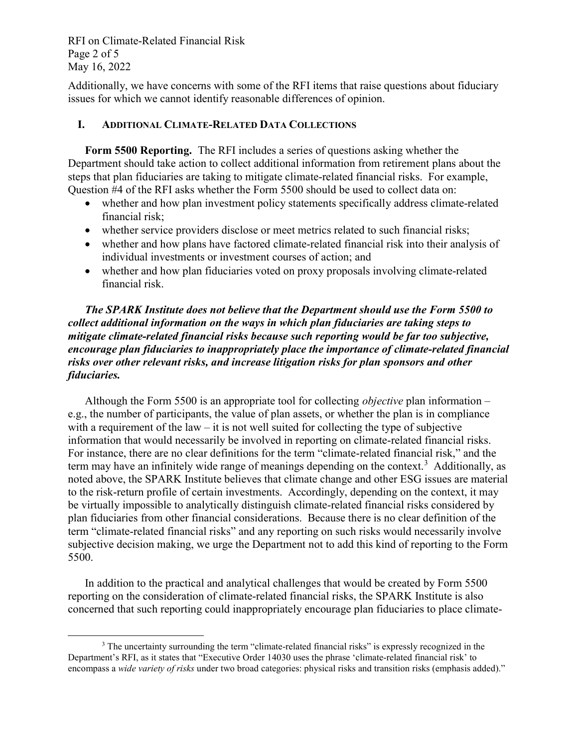RFI on Climate-Related Financial Risk Page 2 of 5 May 16, 2022

Additionally, we have concerns with some of the RFI items that raise questions about fiduciary issues for which we cannot identify reasonable differences of opinion.

## I. ADDITIONAL CLIMATE-RELATED DATA COLLECTIONS

Form 5500 Reporting. The RFI includes a series of questions asking whether the Department should take action to collect additional information from retirement plans about the steps that plan fiduciaries are taking to mitigate climate-related financial risks. For example, Question #4 of the RFI asks whether the Form 5500 should be used to collect data on:

- whether and how plan investment policy statements specifically address climate-related financial risk;
- whether service providers disclose or meet metrics related to such financial risks;
- whether and how plans have factored climate-related financial risk into their analysis of individual investments or investment courses of action; and
- whether and how plan fiduciaries voted on proxy proposals involving climate-related financial risk.

The SPARK Institute does not believe that the Department should use the Form 5500 to collect additional information on the ways in which plan fiduciaries are taking steps to mitigate climate-related financial risks because such reporting would be far too subjective, encourage plan fiduciaries to inappropriately place the importance of climate-related financial risks over other relevant risks, and increase litigation risks for plan sponsors and other fiduciaries.

Although the Form 5500 is an appropriate tool for collecting *objective* plan information – e.g., the number of participants, the value of plan assets, or whether the plan is in compliance with a requirement of the law – it is not well suited for collecting the type of subjective information that would necessarily be involved in reporting on climate-related financial risks. For instance, there are no clear definitions for the term "climate-related financial risk," and the term may have an infinitely wide range of meanings depending on the context.<sup>3</sup> Additionally, as noted above, the SPARK Institute believes that climate change and other ESG issues are material to the risk-return profile of certain investments. Accordingly, depending on the context, it may be virtually impossible to analytically distinguish climate-related financial risks considered by plan fiduciaries from other financial considerations. Because there is no clear definition of the term "climate-related financial risks" and any reporting on such risks would necessarily involve subjective decision making, we urge the Department not to add this kind of reporting to the Form 5500.

In addition to the practical and analytical challenges that would be created by Form 5500 reporting on the consideration of climate-related financial risks, the SPARK Institute is also concerned that such reporting could inappropriately encourage plan fiduciaries to place climate-

 $\overline{a}$ <sup>3</sup> The uncertainty surrounding the term "climate-related financial risks" is expressly recognized in the Department's RFI, as it states that "Executive Order 14030 uses the phrase 'climate-related financial risk' to encompass a wide variety of risks under two broad categories: physical risks and transition risks (emphasis added)."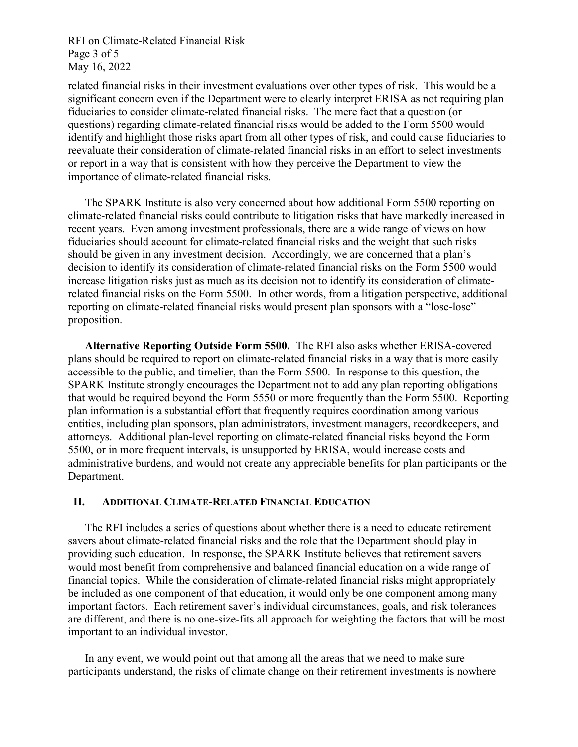RFI on Climate-Related Financial Risk Page 3 of 5 May 16, 2022

related financial risks in their investment evaluations over other types of risk. This would be a significant concern even if the Department were to clearly interpret ERISA as not requiring plan fiduciaries to consider climate-related financial risks. The mere fact that a question (or questions) regarding climate-related financial risks would be added to the Form 5500 would identify and highlight those risks apart from all other types of risk, and could cause fiduciaries to reevaluate their consideration of climate-related financial risks in an effort to select investments or report in a way that is consistent with how they perceive the Department to view the importance of climate-related financial risks.

The SPARK Institute is also very concerned about how additional Form 5500 reporting on climate-related financial risks could contribute to litigation risks that have markedly increased in recent years. Even among investment professionals, there are a wide range of views on how fiduciaries should account for climate-related financial risks and the weight that such risks should be given in any investment decision. Accordingly, we are concerned that a plan's decision to identify its consideration of climate-related financial risks on the Form 5500 would increase litigation risks just as much as its decision not to identify its consideration of climaterelated financial risks on the Form 5500. In other words, from a litigation perspective, additional reporting on climate-related financial risks would present plan sponsors with a "lose-lose" proposition.

Alternative Reporting Outside Form 5500. The RFI also asks whether ERISA-covered plans should be required to report on climate-related financial risks in a way that is more easily accessible to the public, and timelier, than the Form 5500. In response to this question, the SPARK Institute strongly encourages the Department not to add any plan reporting obligations that would be required beyond the Form 5550 or more frequently than the Form 5500. Reporting plan information is a substantial effort that frequently requires coordination among various entities, including plan sponsors, plan administrators, investment managers, recordkeepers, and attorneys. Additional plan-level reporting on climate-related financial risks beyond the Form 5500, or in more frequent intervals, is unsupported by ERISA, would increase costs and administrative burdens, and would not create any appreciable benefits for plan participants or the Department.

## II. ADDITIONAL CLIMATE-RELATED FINANCIAL EDUCATION

The RFI includes a series of questions about whether there is a need to educate retirement savers about climate-related financial risks and the role that the Department should play in providing such education. In response, the SPARK Institute believes that retirement savers would most benefit from comprehensive and balanced financial education on a wide range of financial topics. While the consideration of climate-related financial risks might appropriately be included as one component of that education, it would only be one component among many important factors. Each retirement saver's individual circumstances, goals, and risk tolerances are different, and there is no one-size-fits all approach for weighting the factors that will be most important to an individual investor.

In any event, we would point out that among all the areas that we need to make sure participants understand, the risks of climate change on their retirement investments is nowhere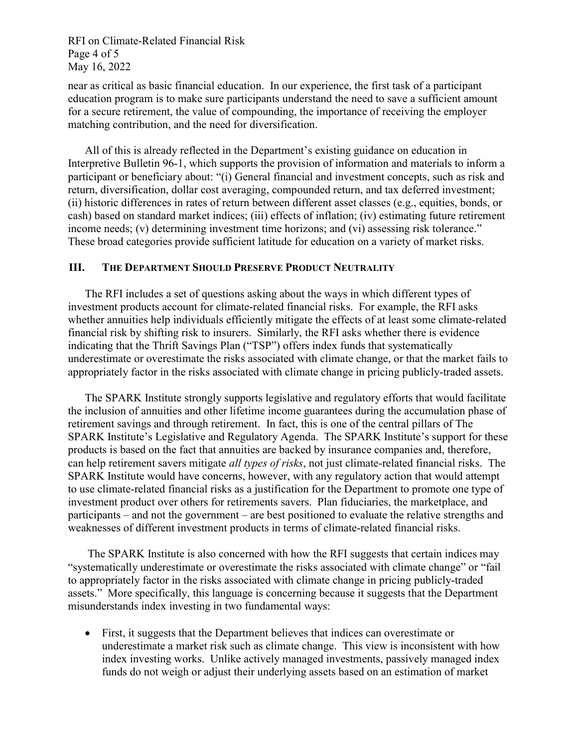RFI on Climate-Related Financial Risk Page 4 of 5 May 16, 2022

near as critical as basic financial education. In our experience, the first task of a participant education program is to make sure participants understand the need to save a sufficient amount for a secure retirement, the value of compounding, the importance of receiving the employer matching contribution, and the need for diversification.

All of this is already reflected in the Department's existing guidance on education in Interpretive Bulletin 96-1, which supports the provision of information and materials to inform a participant or beneficiary about: "(i) General financial and investment concepts, such as risk and return, diversification, dollar cost averaging, compounded return, and tax deferred investment; (ii) historic differences in rates of return between different asset classes (e.g., equities, bonds, or cash) based on standard market indices; (iii) effects of inflation; (iv) estimating future retirement income needs; (v) determining investment time horizons; and (vi) assessing risk tolerance." These broad categories provide sufficient latitude for education on a variety of market risks.

## III. THE DEPARTMENT SHOULD PRESERVE PRODUCT NEUTRALITY

The RFI includes a set of questions asking about the ways in which different types of investment products account for climate-related financial risks. For example, the RFI asks whether annuities help individuals efficiently mitigate the effects of at least some climate-related financial risk by shifting risk to insurers. Similarly, the RFI asks whether there is evidence indicating that the Thrift Savings Plan ("TSP") offers index funds that systematically underestimate or overestimate the risks associated with climate change, or that the market fails to appropriately factor in the risks associated with climate change in pricing publicly-traded assets.

The SPARK Institute strongly supports legislative and regulatory efforts that would facilitate the inclusion of annuities and other lifetime income guarantees during the accumulation phase of retirement savings and through retirement. In fact, this is one of the central pillars of The SPARK Institute's Legislative and Regulatory Agenda. The SPARK Institute's support for these products is based on the fact that annuities are backed by insurance companies and, therefore, can help retirement savers mitigate all types of risks, not just climate-related financial risks. The SPARK Institute would have concerns, however, with any regulatory action that would attempt to use climate-related financial risks as a justification for the Department to promote one type of investment product over others for retirements savers. Plan fiduciaries, the marketplace, and participants – and not the government – are best positioned to evaluate the relative strengths and weaknesses of different investment products in terms of climate-related financial risks.

 The SPARK Institute is also concerned with how the RFI suggests that certain indices may "systematically underestimate or overestimate the risks associated with climate change" or "fail to appropriately factor in the risks associated with climate change in pricing publicly-traded assets." More specifically, this language is concerning because it suggests that the Department misunderstands index investing in two fundamental ways:

 First, it suggests that the Department believes that indices can overestimate or underestimate a market risk such as climate change. This view is inconsistent with how index investing works. Unlike actively managed investments, passively managed index funds do not weigh or adjust their underlying assets based on an estimation of market